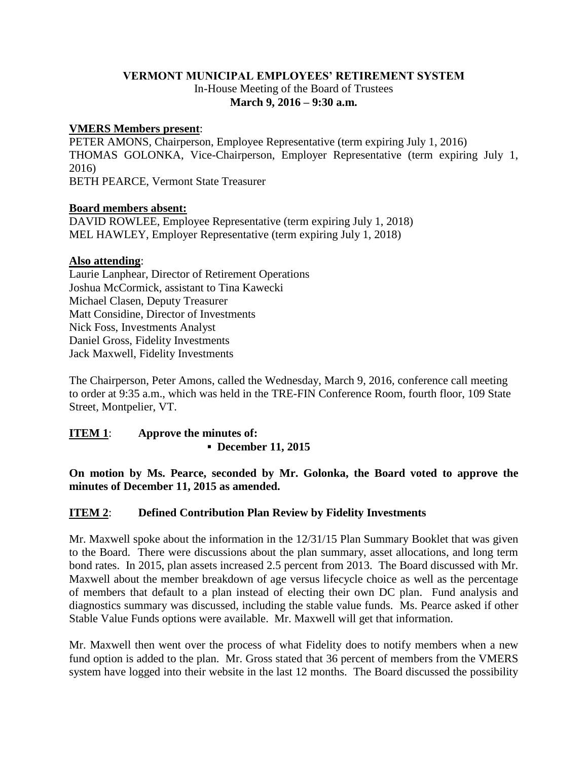# **VERMONT MUNICIPAL EMPLOYEES' RETIREMENT SYSTEM** In-House Meeting of the Board of Trustees **March 9, 2016 – 9:30 a.m.**

## **VMERS Members present**:

PETER AMONS, Chairperson, Employee Representative (term expiring July 1, 2016) THOMAS GOLONKA, Vice-Chairperson, Employer Representative (term expiring July 1, 2016) BETH PEARCE, Vermont State Treasurer

### **Board members absent:**

DAVID ROWLEE, Employee Representative (term expiring July 1, 2018) MEL HAWLEY, Employer Representative (term expiring July 1, 2018)

### **Also attending**:

Laurie Lanphear, Director of Retirement Operations Joshua McCormick, assistant to Tina Kawecki Michael Clasen, Deputy Treasurer Matt Considine, Director of Investments Nick Foss, Investments Analyst Daniel Gross, Fidelity Investments Jack Maxwell, Fidelity Investments

The Chairperson, Peter Amons, called the Wednesday, March 9, 2016, conference call meeting to order at 9:35 a.m., which was held in the TRE-FIN Conference Room, fourth floor, 109 State Street, Montpelier, VT.

# **ITEM 1**: **Approve the minutes of: ▪ December 11, 2015**

**On motion by Ms. Pearce, seconded by Mr. Golonka, the Board voted to approve the minutes of December 11, 2015 as amended.**

## **ITEM 2**: **Defined Contribution Plan Review by Fidelity Investments**

Mr. Maxwell spoke about the information in the 12/31/15 Plan Summary Booklet that was given to the Board. There were discussions about the plan summary, asset allocations, and long term bond rates. In 2015, plan assets increased 2.5 percent from 2013. The Board discussed with Mr. Maxwell about the member breakdown of age versus lifecycle choice as well as the percentage of members that default to a plan instead of electing their own DC plan. Fund analysis and diagnostics summary was discussed, including the stable value funds. Ms. Pearce asked if other Stable Value Funds options were available. Mr. Maxwell will get that information.

Mr. Maxwell then went over the process of what Fidelity does to notify members when a new fund option is added to the plan. Mr. Gross stated that 36 percent of members from the VMERS system have logged into their website in the last 12 months. The Board discussed the possibility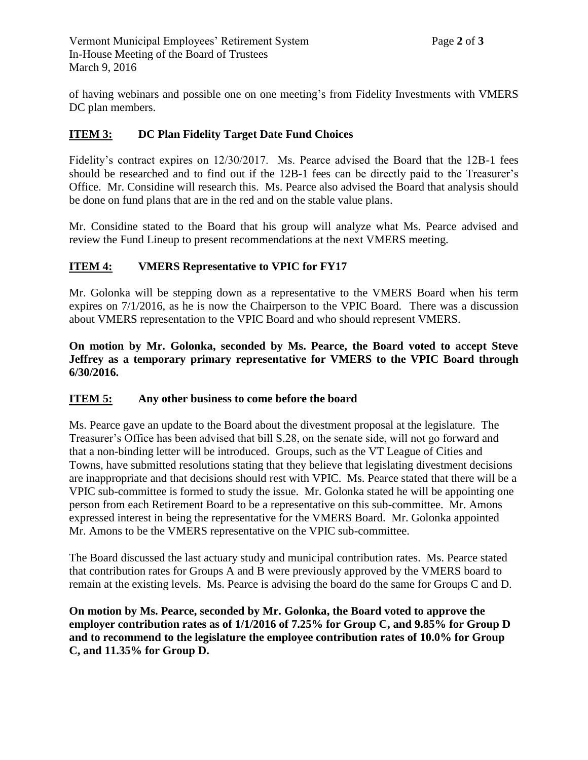of having webinars and possible one on one meeting's from Fidelity Investments with VMERS DC plan members.

# **ITEM 3: DC Plan Fidelity Target Date Fund Choices**

Fidelity's contract expires on 12/30/2017. Ms. Pearce advised the Board that the 12B-1 fees should be researched and to find out if the 12B-1 fees can be directly paid to the Treasurer's Office. Mr. Considine will research this. Ms. Pearce also advised the Board that analysis should be done on fund plans that are in the red and on the stable value plans.

Mr. Considine stated to the Board that his group will analyze what Ms. Pearce advised and review the Fund Lineup to present recommendations at the next VMERS meeting.

# **ITEM 4: VMERS Representative to VPIC for FY17**

Mr. Golonka will be stepping down as a representative to the VMERS Board when his term expires on 7/1/2016, as he is now the Chairperson to the VPIC Board. There was a discussion about VMERS representation to the VPIC Board and who should represent VMERS.

**On motion by Mr. Golonka, seconded by Ms. Pearce, the Board voted to accept Steve Jeffrey as a temporary primary representative for VMERS to the VPIC Board through 6/30/2016.**

## **ITEM 5: Any other business to come before the board**

Ms. Pearce gave an update to the Board about the divestment proposal at the legislature. The Treasurer's Office has been advised that bill S.28, on the senate side, will not go forward and that a non-binding letter will be introduced. Groups, such as the VT League of Cities and Towns, have submitted resolutions stating that they believe that legislating divestment decisions are inappropriate and that decisions should rest with VPIC. Ms. Pearce stated that there will be a VPIC sub-committee is formed to study the issue. Mr. Golonka stated he will be appointing one person from each Retirement Board to be a representative on this sub-committee. Mr. Amons expressed interest in being the representative for the VMERS Board. Mr. Golonka appointed Mr. Amons to be the VMERS representative on the VPIC sub-committee.

The Board discussed the last actuary study and municipal contribution rates. Ms. Pearce stated that contribution rates for Groups A and B were previously approved by the VMERS board to remain at the existing levels. Ms. Pearce is advising the board do the same for Groups C and D.

**On motion by Ms. Pearce, seconded by Mr. Golonka, the Board voted to approve the employer contribution rates as of 1/1/2016 of 7.25% for Group C, and 9.85% for Group D and to recommend to the legislature the employee contribution rates of 10.0% for Group C, and 11.35% for Group D.**